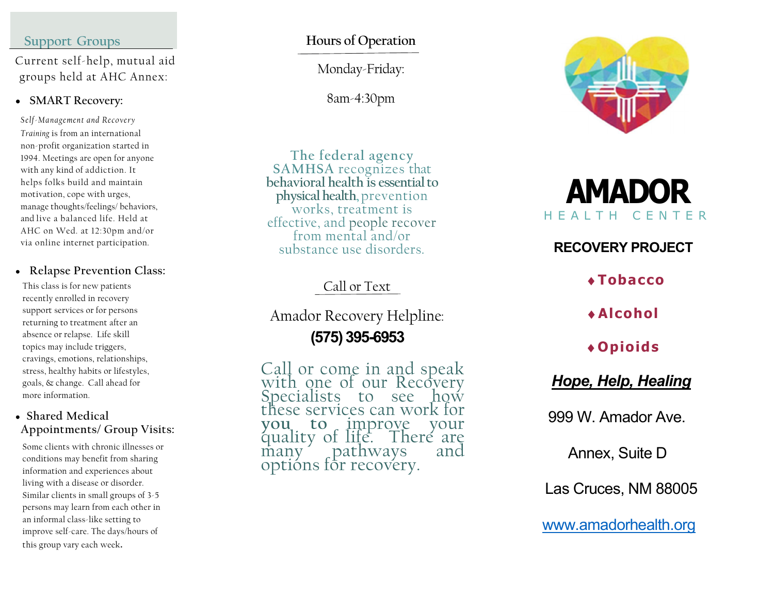#### Support Groups

 Current self-help, mutual aid groups held at AHC Annex:

#### • SMART Recovery:

Self-Management and Recovery Training is from an international non-profit organization started in 1994. Meetings are open for anyone with any kind of addiction. It helps folks build and maintain motivation, cope with urges, manage thoughts/feelings/ behaviors, and live a balanced life. Held at AHC on Wed. at 12:30pm and/or via online internet participation.

#### • Relapse Prevention Class:

This class is for new patients recently enrolled in recovery support services or for persons returning to treatment after an absence or relapse. Life skill topics may include triggers, cravings, emotions, relationships, stress, healthy habits or lifestyles, goals, & change. Call ahead for more information.

#### Shared Medical Appointments/ Group Visits:

Some clients with chronic illnesses or conditions may benefit from sharing information and experiences about living with a disease or disorder. Similar clients in small groups of 3-5 persons may learn from each other in an informal class-like setting to improve self-care. The days/hours of this group vary each week.

# Hours of Operation

Monday-Friday:

8am-4:30pm

The federal agency SAMHSA recognizes that behavioral health is essential to physical health, prevention works, treatment is effective, and people recover from mental and/or substance use disorders.

# Call or Text

Amador Recovery Helpline:

(575) 395-6953

Call or come in and speak<br>with one of our Recovery Specialists to see how these services can work for<br>you to improve your you to improve your<br>quality of life. There are<br>many pathways and optións for recovery.



# AMADOR H E A L T H C E N T E R

# RECOVERY PROJECT

Tobacco

Alcohol

# Opioids

# Hope, Help, Healing

999 W. Amador Ave.

Annex, Suite D

Las Cruces, NM 88005

www.amadorhealth.org